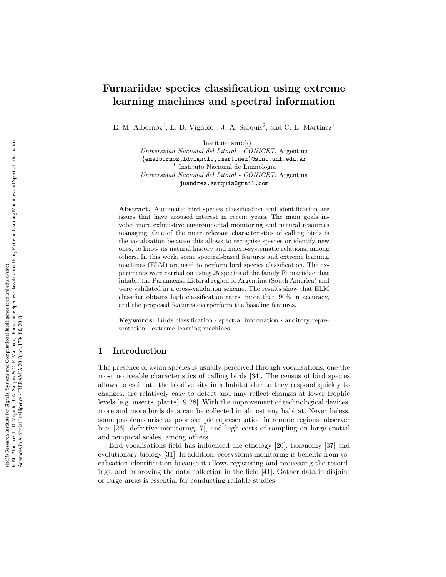# Furnariidae species classification using extreme learning machines and spectral information

E. M. Albornoz<sup>1</sup>, L. D. Vignolo<sup>1</sup>, J. A. Sarquis<sup>2</sup>, and C. E. Martínez<sup>1</sup>

<sup>1</sup> Instituto **sinc**(*i*)

Universidad Nacional del Litoral - CONICET, Argentina {emalbornoz,ldvignolo,cmartinez}@sinc.unl.edu.ar  $^2$  Instituto Nacional de Limnología Universidad Nacional del Litoral - CONICET, Argentina juandres.sarquis@gmail.com

Abstract. Automatic bird species classification and identification are issues that have aroused interest in recent years. The main goals involve more exhaustive environmental monitoring and natural resources managing. One of the more relevant characteristics of calling birds is the vocalisation because this allows to recognise species or identify new ones, to know its natural history and macro-systematic relations, among others. In this work, some spectral-based features and extreme learning machines (ELM) are used to perform bird species classification. The experiments were carried on using 25 species of the family Furnariidae that inhabit the Paranaense Littoral region of Argentina (South America) and were validated in a cross-validation scheme. The results show that ELM classifier obtains high classification rates, more than 90% in accuracy, and the proposed features overperform the baseline features.

Keywords: Birds classification · spectral information · auditory representation · extreme learning machines.

# 1 Introduction

The presence of avian species is usually perceived through vocalisations, one the most noticeable characteristics of calling birds [34]. The census of bird species allows to estimate the biodiversity in a habitat due to they respond quickly to changes, are relatively easy to detect and may reflect changes at lower trophic levels (e.g. insects, plants) [9,28]. With the improvement of technological devices, more and more birds data can be collected in almost any habitat. Nevertheless, some problems arise as poor sample representation in remote regions, observer bias [26], defective monitoring [7], and high costs of sampling on large spatial and temporal scales, among others.

Bird vocalisations field has influenced the ethology [20], taxonomy [37] and evolutionary biology [31]. In addition, ecosystems monitoring is benefits from vocalisation identification because it allows registering and processing the recordings, and improving the data collection in the field [41]. Gather data in disjoint or large areas is essential for conducting reliable studies.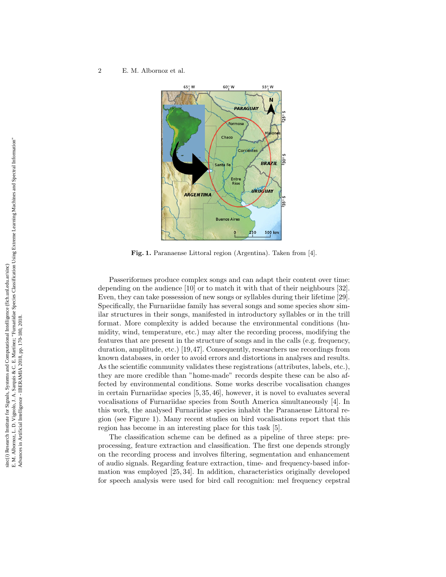

Fig. 1. Paranaense Littoral region (Argentina). Taken from [4].

Passeriformes produce complex songs and can adapt their content over time: depending on the audience [10] or to match it with that of their neighbours [32]. Even, they can take possession of new songs or syllables during their lifetime [29]. Specifically, the Furnariidae family has several songs and some species show similar structures in their songs, manifested in introductory syllables or in the trill format. More complexity is added because the environmental conditions (humidity, wind, temperature, etc.) may alter the recording process, modifying the features that are present in the structure of songs and in the calls (e.g. frequency, duration, amplitude, etc.) [19,47]. Consequently, researchers use recordings from known databases, in order to avoid errors and distortions in analyses and results. As the scientific community validates these registrations (attributes, labels, etc.), they are more credible than "home-made" records despite these can be also affected by environmental conditions. Some works describe vocalisation changes in certain Furnariidae species [5, 35, 46], however, it is novel to evaluates several vocalisations of Furnariidae species from South America simultaneously [4]. In this work, the analysed Furnariidae species inhabit the Paranaense Littoral region (see Figure 1). Many recent studies on bird vocalisations report that this region has become in an interesting place for this task [5].

The classification scheme can be defined as a pipeline of three steps: preprocessing, feature extraction and classification. The first one depends strongly on the recording process and involves filtering, segmentation and enhancement of audio signals. Regarding feature extraction, time- and frequency-based information was employed [25, 34]. In addition, characteristics originally developed for speech analysis were used for bird call recognition: mel frequency cepstral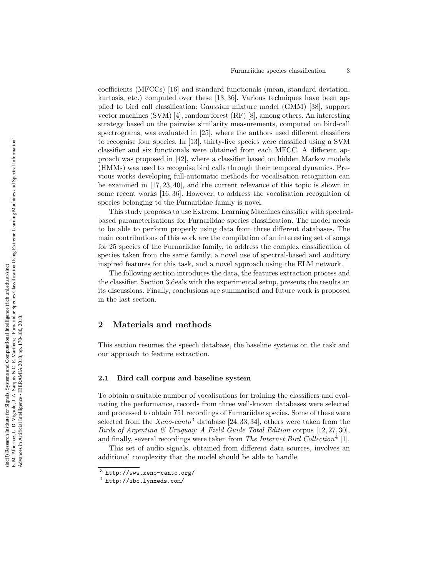coefficients (MFCCs) [16] and standard functionals (mean, standard deviation, kurtosis, etc.) computed over these [13, 36]. Various techniques have been applied to bird call classification: Gaussian mixture model (GMM) [38], support vector machines (SVM) [4], random forest (RF) [8], among others. An interesting strategy based on the pairwise similarity measurements, computed on bird-call spectrograms, was evaluated in [25], where the authors used different classifiers to recognise four species. In [13], thirty-five species were classified using a SVM classifier and six functionals were obtained from each MFCC. A different approach was proposed in [42], where a classifier based on hidden Markov models (HMMs) was used to recognise bird calls through their temporal dynamics. Previous works developing full-automatic methods for vocalisation recognition can be examined in [17, 23, 40], and the current relevance of this topic is shown in some recent works [16, 36]. However, to address the vocalisation recognition of species belonging to the Furnariidae family is novel.

This study proposes to use Extreme Learning Machines classifier with spectralbased parameterisations for Furnariidae species classification. The model needs to be able to perform properly using data from three different databases. The main contributions of this work are the compilation of an interesting set of songs for 25 species of the Furnariidae family, to address the complex classification of species taken from the same family, a novel use of spectral-based and auditory inspired features for this task, and a novel approach using the ELM network.

The following section introduces the data, the features extraction process and the classifier. Section 3 deals with the experimental setup, presents the results an its discussions. Finally, conclusions are summarised and future work is proposed in the last section.

# 2 Materials and methods

This section resumes the speech database, the baseline systems on the task and our approach to feature extraction.

#### 2.1 Bird call corpus and baseline system

To obtain a suitable number of vocalisations for training the classifiers and evaluating the performance, records from three well-known databases were selected and processed to obtain 751 recordings of Furnariidae species. Some of these were selected from the  $Xeno\text{-}canto^3$  database [24, 33, 34], others were taken from the Birds of Argentina & Uruguay: A Field Guide Total Edition corpus  $[12, 27, 30]$ , and finally, several recordings were taken from The Internet Bird Collection<sup>4</sup> [1].

This set of audio signals, obtained from different data sources, involves an additional complexity that the model should be able to handle.

 $^3$  http://www.xeno-canto.org/

 $<sup>4</sup>$  http://ibc.lynxeds.com/</sup>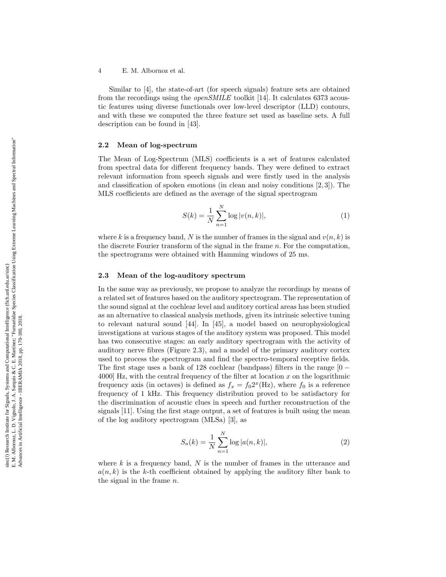4 E. M. Albornoz et al.

Similar to [4], the state-of-art (for speech signals) feature sets are obtained from the recordings using the openSMILE toolkit [14]. It calculates 6373 acoustic features using diverse functionals over low-level descriptor (LLD) contours, and with these we computed the three feature set used as baseline sets. A full description can be found in [43].

## 2.2 Mean of log-spectrum

The Mean of Log-Spectrum (MLS) coefficients is a set of features calculated from spectral data for different frequency bands. They were defined to extract relevant information from speech signals and were firstly used in the analysis and classification of spoken emotions (in clean and noisy conditions  $[2,3]$ ). The MLS coefficients are defined as the average of the signal spectrogram

$$
S(k) = \frac{1}{N} \sum_{n=1}^{N} \log |v(n, k)|,
$$
\n(1)

where k is a frequency band, N is the number of frames in the signal and  $v(n, k)$  is the discrete Fourier transform of the signal in the frame n. For the computation, the spectrograms were obtained with Hamming windows of 25 ms.

## 2.3 Mean of the log-auditory spectrum

In the same way as previously, we propose to analyze the recordings by means of a related set of features based on the auditory spectrogram. The representation of the sound signal at the cochlear level and auditory cortical areas has been studied as an alternative to classical analysis methods, given its intrinsic selective tuning to relevant natural sound [44]. In [45], a model based on neurophysiological investigations at various stages of the auditory system was proposed. This model has two consecutive stages: an early auditory spectrogram with the activity of auditory nerve fibres (Figure 2.3), and a model of the primary auditory cortex used to process the spectrogram and find the spectro-temporal receptive fields. The first stage uses a bank of 128 cochlear (bandpass) filters in the range  $[0 4000$  Hz, with the central frequency of the filter at location x on the logarithmic frequency axis (in octaves) is defined as  $f_x = f_0 2^x$ (Hz), where  $f_0$  is a reference frequency of 1 kHz. This frequency distribution proved to be satisfactory for the discrimination of acoustic clues in speech and further reconstruction of the signals [11]. Using the first stage output, a set of features is built using the mean of the log auditory spectrogram (MLSa) [3], as

$$
S_a(k) = \frac{1}{N} \sum_{n=1}^{N} \log |a(n, k)|,
$$
\n(2)

where  $k$  is a frequency band,  $N$  is the number of frames in the utterance and  $a(n, k)$  is the k-th coefficient obtained by applying the auditory filter bank to the signal in the frame  $n$ .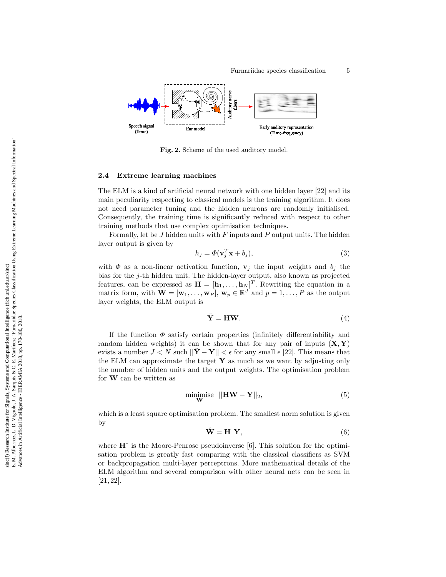

Fig. 2. Scheme of the used auditory model.

## 2.4 Extreme learning machines

The ELM is a kind of artificial neural network with one hidden layer [22] and its main peculiarity respecting to classical models is the training algorithm. It does not need parameter tuning and the hidden neurons are randomly initialised. Consequently, the training time is significantly reduced with respect to other training methods that use complex optimisation techniques.

Formally, let be  $J$  hidden units with  $F$  inputs and  $P$  output units. The hidden layer output is given by

$$
h_j = \Phi(\mathbf{v}_j^T \mathbf{x} + b_j),\tag{3}
$$

with  $\Phi$  as a non-linear activation function,  $\mathbf{v}_j$  the input weights and  $b_j$  the bias for the j-th hidden unit. The hidden-layer output, also known as projected features, can be expressed as  $\mathbf{H} = [\mathbf{h}_1, \dots, \mathbf{h}_N]^T$ . Rewriting the equation in a matrix form, with  $\mathbf{W} = [\mathbf{w}_1, \dots, \mathbf{w}_P], \mathbf{w}_p \in \mathbb{R}^J$  and  $p = 1, \dots, P$  as the output layer weights, the ELM output is

$$
\tilde{\mathbf{Y}} = \mathbf{H}\mathbf{W}.\tag{4}
$$

If the function  $\Phi$  satisfy certain properties (infinitely differentiability and random hidden weights) it can be shown that for any pair of inputs  $(X, Y)$ exists a number  $J < N$  such  $||\tilde{\mathbf{Y}} - \mathbf{Y}|| < \epsilon$  for any small  $\epsilon$  [22]. This means that the ELM can approximate the target  $Y$  as much as we want by adjusting only the number of hidden units and the output weights. The optimisation problem for W can be written as

$$
\underset{\mathbf{W}}{\text{minimise}} \quad ||\mathbf{H}\mathbf{W} - \mathbf{Y}||_2,\tag{5}
$$

which is a least square optimisation problem. The smallest norm solution is given by

$$
\hat{\mathbf{W}} = \mathbf{H}^{\dagger} \mathbf{Y},\tag{6}
$$

where  $H^{\dagger}$  is the Moore-Penrose pseudoinverse [6]. This solution for the optimisation problem is greatly fast comparing with the classical classifiers as SVM or backpropagation multi-layer perceptrons. More mathematical details of the ELM algorithm and several comparison with other neural nets can be seen in [21, 22].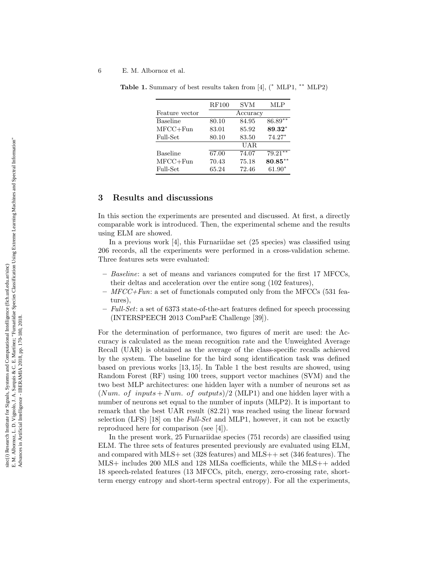#### 6 E. M. Albornoz et al.

|                 | <b>RF100</b> | <b>SVM</b> | MLP        |
|-----------------|--------------|------------|------------|
| Feature vector  | Accuracy     |            |            |
| <b>Baseline</b> | 80.10        | 84.95      | $86.89**$  |
| $MFCC + Fun$    | 83.01        | 85.92      | 89.32*     |
| Full-Set        | 80.10        | 83.50      | $74.27*$   |
|                 |              | UAR.       |            |
| <b>Baseline</b> | 67.00        | 74.07      | $79.21***$ |
| $MFCC + Fun$    | 70.43        | 75.18      | $80.85***$ |
| Full-Set        | 65.24        | 72.46      | $61.90*$   |

Table 1. Summary of best results taken from  $[4]$ ,  $(*$  MLP1,  $**$  MLP2)

## 3 Results and discussions

In this section the experiments are presented and discussed. At first, a directly comparable work is introduced. Then, the experimental scheme and the results using ELM are showed.

In a previous work [4], this Furnariidae set (25 species) was classified using 206 records, all the experiments were performed in a cross-validation scheme. Three features sets were evaluated:

- Baseline: a set of means and variances computed for the first 17 MFCCs, their deltas and acceleration over the entire song (102 features),
- $MFCC+Fun:$  a set of functionals computed only from the MFCCs (531 features),
- $-$  Full-Set: a set of 6373 state-of-the-art features defined for speech processing (INTERSPEECH 2013 ComParE Challenge [39]).

For the determination of performance, two figures of merit are used: the Accuracy is calculated as the mean recognition rate and the Unweighted Average Recall (UAR) is obtained as the average of the class-specific recalls achieved by the system. The baseline for the bird song identification task was defined based on previous works [13, 15]. In Table 1 the best results are showed, using Random Forest (RF) using 100 trees, support vector machines (SVM) and the two best MLP architectures: one hidden layer with a number of neurons set as (Num. of inputs + Num. of outputs)/2 (MLP1) and one hidden layer with a number of neurons set equal to the number of inputs (MLP2). It is important to remark that the best UAR result (82 .21) was reached using the linear forward selection (LFS)  $[18]$  on the *Full-Set* and MLP1, however, it can not be exactly reproduced here for comparison (see [4]).

In the present work, 25 Furnariidae species (751 records) are classified using ELM. The three sets of features presented previously are evaluated using ELM, and compared with MLS+ set (328 features) and MLS++ set (346 features). The MLS+ includes 200 MLS and 128 MLSa coefficients, while the MLS++ added 18 speech-related features (13 MFCCs, pitch, energy, zero-crossing rate, shortterm energy entropy and short-term spectral entropy). For all the experiments,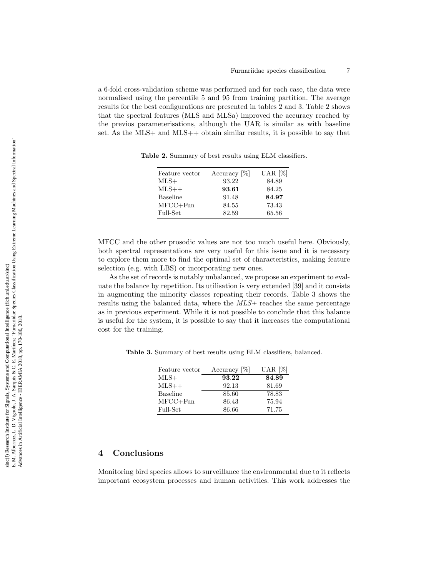a 6-fold cross-validation scheme was performed and for each case, the data were normalised using the percentile 5 and 95 from training partition. The average results for the best configurations are presented in tables 2 and 3. Table 2 shows that the spectral features (MLS and MLSa) improved the accuracy reached by the previos parameterisations, although the UAR is similar as with baseline set. As the MLS+ and MLS++ obtain similar results, it is possible to say that

| Feature vector  | Accuracy $ \% $ | UAR [%] |
|-----------------|-----------------|---------|
| $MLS+$          | 93.22           | 84.89   |
| $MLS++$         | 93.61           | 84.25   |
| <b>Baseline</b> | 91.48           | 84.97   |
| $MFCC + Fun$    | 84.55           | 73.43   |
| Full-Set        | 82.59           | 65.56   |

Table 2. Summary of best results using ELM classifiers.

MFCC and the other prosodic values are not too much useful here. Obviously, both spectral representations are very useful for this issue and it is necessary to explore them more to find the optimal set of characteristics, making feature selection (e.g. with LBS) or incorporating new ones.

As the set of records is notably unbalanced, we propose an experiment to evaluate the balance by repetition. Its utilisation is very extended [39] and it consists in augmenting the minority classes repeating their records. Table 3 shows the results using the balanced data, where the  $MLS+\text{reaches}$  the same percentage as in previous experiment. While it is not possible to conclude that this balance is useful for the system, it is possible to say that it increases the computational cost for the training.

Table 3. Summary of best results using ELM classifiers, balanced.

| Feature vector | Accuracy $ \% $ | $UAR$ [%] |
|----------------|-----------------|-----------|
| $MLS+$         | 93.22           | 84.89     |
| $MLS++$        | 92.13           | 81.69     |
| Baseline       | 85.60           | 78.83     |
| $MFCC + Fun$   | 86.43           | 75.94     |
| Full-Set       | 86.66           | 71.75     |

# 4 Conclusions

Monitoring bird species allows to surveillance the environmental due to it reflects important ecosystem processes and human activities. This work addresses the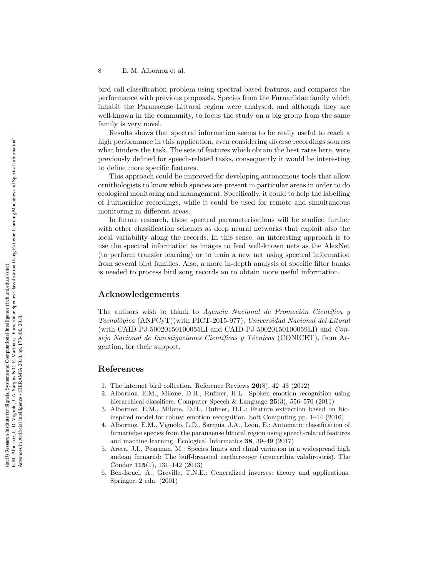## 8 E. M. Albornoz et al.

bird call classification problem using spectral-based features, and compares the performance with previous proposals. Species from the Furnariidae family which inhabit the Paranaense Littoral region were analysed, and although they are well-known in the community, to focus the study on a big group from the same family is very novel.

Results shows that spectral information seems to be really useful to reach a high performance in this application, even considering diverse recordings sources what hinders the task. The sets of features which obtain the best rates here, were previously defined for speech-related tasks, consequently it would be interesting to define more specific features.

This approach could be improved for developing autonomous tools that allow ornithologists to know which species are present in particular areas in order to do ecological monitoring and management. Specifically, it could to help the labelling of Furnariidae recordings, while it could be used for remote and simultaneous monitoring in different areas.

In future research, these spectral parameterisations will be studied further with other classification schemes as deep neural networks that exploit also the local variability along the records. In this sense, an interesting approach is to use the spectral information as images to feed well-known nets as the AlexNet (to perform transfer learning) or to train a new net using spectral information from several bird families. Also, a more in-depth analysis of specific filter banks is needed to process bird song records an to obtain more useful information.

# Acknowledgements

The authors wish to thank to Agencia Nacional de Promoción Científica y Tecnológica (ANPCyT)(with PICT-2015-977), Universidad Nacional del Litoral (with CAID-PJ-50020150100055LI and CAID-PJ-50020150100059LI) and Consejo Nacional de Investigaciones Científicas y Técnicas (CONICET), from Argentina, for their support.

# References

- 1. The internet bird collection. Reference Reviews 26(8), 42–43 (2012)
- 2. Albornoz, E.M., Milone, D.H., Rufiner, H.L.: Spoken emotion recognition using hierarchical classifiers. Computer Speech & Language  $25(3)$ , 556–570 (2011)
- 3. Albornoz, E.M., Milone, D.H., Rufiner, H.L.: Feature extraction based on bioinspired model for robust emotion recognition. Soft Computing pp. 1–14 (2016)
- 4. Albornoz, E.M., Vignolo, L.D., Sarquis, J.A., Leon, E.: Automatic classification of furnariidae species from the paranaense littoral region using speech-related features and machine learning. Ecological Informatics 38, 39–49 (2017)
- 5. Areta, J.I., Pearman, M.: Species limits and clinal variation in a widespread high andean furnariid: The buff-breasted earthcreeper (upucerthia validirostris). The Condor 115(1), 131–142 (2013)
- 6. Ben-Israel, A., Greville, T.N.E.: Generalized inverses: theory and applications. Springer, 2 edn. (2001)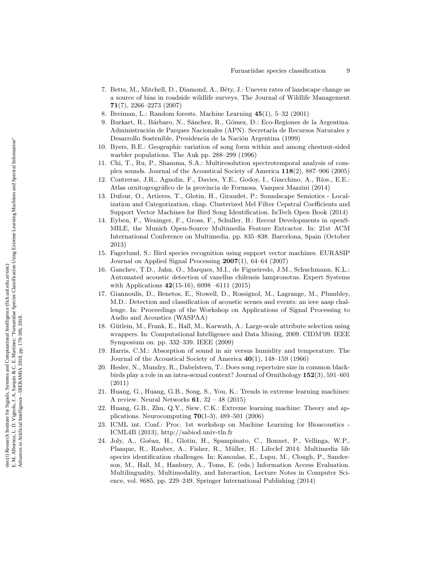- 7. Betts, M., Mitchell, D., Diamond, A., Bêty, J.: Uneven rates of landscape change as a source of bias in roadside wildlife surveys. The Journal of Wildlife Management 71(7), 2266–2273 (2007)
- 8. Breiman, L.: Random forests. Machine Learning 45(1), 5–32 (2001)
- 9. Burkart, R., B´arbaro, N., S´anchez, R., G´omez, D.: Eco-Regiones de la Argentina. Administración de Parques Nacionales (APN). Secretaría de Recursos Naturales y Desarrollo Sostenible, Presidencia de la Nación Argentina (1999)
- 10. Byers, B.E.: Geographic variation of song form within and among chestnut-sided warbler populations. The Auk pp. 288–299 (1996)
- 11. Chi, T., Ru, P., Shamma, S.A.: Multiresolution spectrotemporal analysis of complex sounds. Journal of the Acoustical Society of America 118(2), 887–906 (2005)
- 12. Contreras, J.R., Agnolin, F., Davies, Y.E., Godoy, I., Giacchino, A., Ríos., E.E.: Atlas ornitogeográfico de la provincia de Formosa. Vazquez Mazzini (2014)
- 13. Dufour, O., Artieres, T., Glotin, H., Giraudet, P.: Soundscape Semiotics Localization and Categorization, chap. Clusterized Mel Filter Cepstral Coefficients and Support Vector Machines for Bird Song Identification. InTech Open Book (2014)
- 14. Eyben, F., Weninger, F., Gross, F., Schuller, B.: Recent Developments in openS-MILE, the Munich Open-Source Multimedia Feature Extractor. In: 21st ACM International Conference on Multimedia. pp. 835–838. Barcelona, Spain (October 2013)
- 15. Fagerlund, S.: Bird species recognition using support vector machines. EURASIP Journal on Applied Signal Processing  $2007(1)$ , 64–64 (2007)
- 16. Ganchev, T.D., Jahn, O., Marques, M.I., de Figueiredo, J.M., Schuchmann, K.L.: Automated acoustic detection of vanellus chilensis lampronotus. Expert Systems with Applications 42(15-16), 6098 –6111 (2015)
- 17. Giannoulis, D., Benetos, E., Stowell, D., Rossignol, M., Lagrange, M., Plumbley, M.D.: Detection and classification of acoustic scenes and events: an ieee aasp challenge. In: Proceedings of the Workshop on Applications of Signal Processing to Audio and Acoustics (WASPAA)
- 18. Gütlein, M., Frank, E., Hall, M., Karwath, A.: Large-scale attribute selection using wrappers. In: Computational Intelligence and Data Mining, 2009. CIDM'09. IEEE Symposium on. pp. 332–339. IEEE (2009)
- 19. Harris, C.M.: Absorption of sound in air versus humidity and temperature. The Journal of the Acoustical Society of America 40(1), 148–159 (1966)
- 20. Hesler, N., Mundry, R., Dabelsteen, T.: Does song repertoire size in common blackbirds play a role in an intra-sexual context? Journal of Ornithology 152(3), 591–601 (2011)
- 21. Huang, G., Huang, G.B., Song, S., You, K.: Trends in extreme learning machines: A review. Neural Networks  $61$ ,  $32 - 48$  (2015)
- 22. Huang, G.B., Zhu, Q.Y., Siew, C.K.: Extreme learning machine: Theory and applications. Neurocomputing 70(1-3), 489–501 (2006)
- 23. ICML int. Conf.: Proc. 1st workshop on Machine Learning for Bioacoustics ICML4B (2013), http://sabiod.univ-tln.fr
- 24. Joly, A., Goëau, H., Glotin, H., Spampinato, C., Bonnet, P., Vellinga, W.P., Planque, R., Rauber, A., Fisher, R., Müller, H.: Lifeclef 2014: Multimedia life species identification challenges. In: Kanoulas, E., Lupu, M., Clough, P., Sanderson, M., Hall, M., Hanbury, A., Toms, E. (eds.) Information Access Evaluation. Multilinguality, Multimodality, and Interaction, Lecture Notes in Computer Science, vol. 8685, pp. 229–249. Springer International Publishing (2014)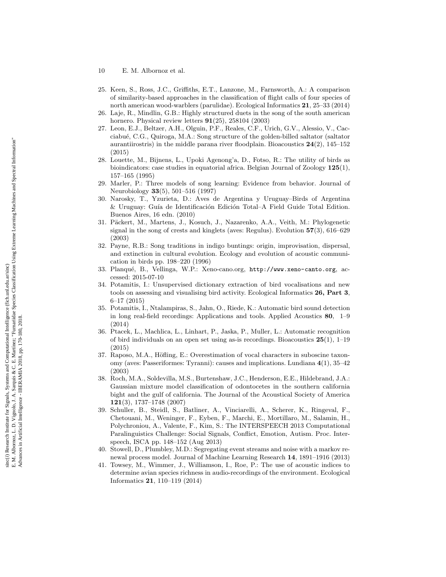- 10 E. M. Albornoz et al.
- 25. Keen, S., Ross, J.C., Griffiths, E.T., Lanzone, M., Farnsworth, A.: A comparison of similarity-based approaches in the classification of flight calls of four species of north american wood-warblers (parulidae). Ecological Informatics 21, 25–33 (2014)
- 26. Laje, R., Mindlin, G.B.: Highly structured duets in the song of the south american hornero. Physical review letters 91(25), 258104 (2003)
- 27. Leon, E.J., Beltzer, A.H., Olguin, P.F., Reales, C.F., Urich, G.V., Alessio, V., Cacciabu´e, C.G., Quiroga, M.A.: Song structure of the golden-billed saltator (saltator aurantiirostris) in the middle parana river floodplain. Bioacoustics  $24(2)$ ,  $145-152$ (2015)
- 28. Louette, M., Bijnens, L., Upoki Agenong'a, D., Fotso, R.: The utility of birds as bioindicators: case studies in equatorial africa. Belgian Journal of Zoology 125(1), 157–165 (1995)
- 29. Marler, P.: Three models of song learning: Evidence from behavior. Journal of Neurobiology 33(5), 501–516 (1997)
- 30. Narosky, T., Yzurieta, D.: Aves de Argentina y Uruguay–Birds of Argentina & Uruguay: Guía de Identificación Edición Total–A Field Guide Total Edition. Buenos Aires, 16 edn. (2010)
- 31. Päckert, M., Martens, J., Kosuch, J., Nazarenko, A.A., Veith, M.: Phylogenetic signal in the song of crests and kinglets (aves: Regulus). Evolution 57(3), 616–629 (2003)
- 32. Payne, R.B.: Song traditions in indigo buntings: origin, improvisation, dispersal, and extinction in cultural evolution. Ecology and evolution of acoustic communication in birds pp. 198–220 (1996)
- 33. Planqué, B., Vellinga, W.P.: Xeno-cano.org, http://www.xeno-canto.org, accessed: 2015-07-10
- 34. Potamitis, I.: Unsupervised dictionary extraction of bird vocalisations and new tools on assessing and visualising bird activity. Ecological Informatics 26, Part 3, 6–17 (2015)
- 35. Potamitis, I., Ntalampiras, S., Jahn, O., Riede, K.: Automatic bird sound detection in long real-field recordings: Applications and tools. Applied Acoustics 80, 1–9 (2014)
- 36. Ptacek, L., Machlica, L., Linhart, P., Jaska, P., Muller, L.: Automatic recognition of bird individuals on an open set using as-is recordings. Bioacoustics  $25(1)$ , 1–19 (2015)
- 37. Raposo, M.A., Höfling, E.: Overestimation of vocal characters in suboscine taxonomy (aves: Passeriformes: Tyranni): causes and implications. Lundiana 4(1), 35–42 (2003)
- 38. Roch, M.A., Soldevilla, M.S., Burtenshaw, J.C., Henderson, E.E., Hildebrand, J.A.: Gaussian mixture model classification of odontocetes in the southern california bight and the gulf of california. The Journal of the Acoustical Society of America 121(3), 1737–1748 (2007)
- 39. Schuller, B., Steidl, S., Batliner, A., Vinciarelli, A., Scherer, K., Ringeval, F., Chetouani, M., Weninger, F., Eyben, F., Marchi, E., Mortillaro, M., Salamin, H., Polychroniou, A., Valente, F., Kim, S.: The INTERSPEECH 2013 Computational Paralinguistics Challenge: Social Signals, Conflict, Emotion, Autism. Proc. Interspeech, ISCA pp. 148–152 (Aug 2013)
- 40. Stowell, D., Plumbley, M.D.: Segregating event streams and noise with a markov renewal process model. Journal of Machine Learning Research 14, 1891–1916 (2013)
- 41. Towsey, M., Wimmer, J., Williamson, I., Roe, P.: The use of acoustic indices to determine avian species richness in audio-recordings of the environment. Ecological Informatics 21, 110–119 (2014)